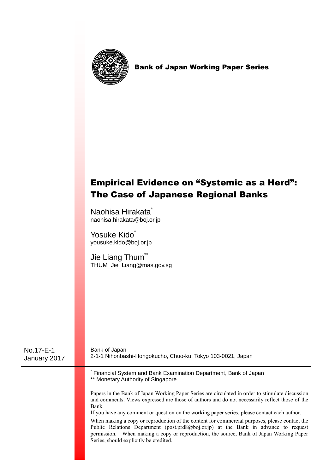

Bank of Japan Working Paper Series

# Empirical Evidence on "Systemic as a Herd": The Case of Japanese Regional Banks

Naohisa Hirakata<sup>\*</sup> naohisa.hirakata@boj.or.jp

Yosuke Kido\* yousuke.kido@boj.or.jp

Jie Liang Thum<sup>\*\*</sup> THUM\_Jie\_Liang@mas.gov.sg

| No.17-E-1<br>January 2017 | Bank of Japan<br>2-1-1 Nihonbashi-Hongokucho, Chuo-ku, Tokyo 103-0021, Japan                                                                                                                                                                                                                                                                                                                                                                                                                                                                                                                                                            |
|---------------------------|-----------------------------------------------------------------------------------------------------------------------------------------------------------------------------------------------------------------------------------------------------------------------------------------------------------------------------------------------------------------------------------------------------------------------------------------------------------------------------------------------------------------------------------------------------------------------------------------------------------------------------------------|
|                           | Financial System and Bank Examination Department, Bank of Japan<br>** Monetary Authority of Singapore                                                                                                                                                                                                                                                                                                                                                                                                                                                                                                                                   |
|                           | Papers in the Bank of Japan Working Paper Series are circulated in order to stimulate discussion<br>and comments. Views expressed are those of authors and do not necessarily reflect those of the<br>Bank<br>If you have any comment or question on the working paper series, please contact each author.<br>When making a copy or reproduction of the content for commercial purposes, please contact the<br>Public Relations Department (post.prd8@boj.or.jp) at the Bank in advance to request<br>permission. When making a copy or reproduction, the source, Bank of Japan Working Paper<br>Series, should explicitly be credited. |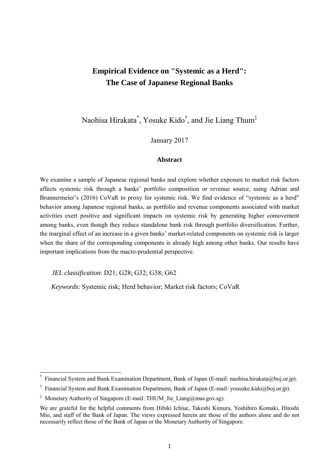# **Empirical Evidence on "Systemic as a Herd": The Case of Japanese Regional Banks**

Naohisa Hirakata\* , Yosuke Kido† , and Jie Liang Thum‡

January 2017

### **Abstract**

We examine a sample of Japanese regional banks and explore whether exposure to market risk factors affects systemic risk through a banks' portfolio composition or revenue source, using Adrian and Brunnermeier's (2016) CoVaR to proxy for systemic risk. We find evidence of "systemic as a herd" behavior among Japanese regional banks, as portfolio and revenue components associated with market activities exert positive and significant impacts on systemic risk by generating higher comovement among banks, even though they reduce standalone bank risk through portfolio diversification. Further, the marginal effect of an increase in a given banks' market-related components on systemic risk is larger when the share of the corresponding components is already high among other banks. Our results have important implications from the macro-prudential perspective.

*JEL classification*: D21; G28; G32; G38; G62

 $\overline{a}$ 

*Keywords*: Systemic risk; Herd behavior; Market risk factors; CoVaR

<sup>\*</sup> Financial System and Bank Examination Department, Bank of Japan (E-mail: naohisa.hirakata@boj.or.jp).

<sup>†</sup> Financial System and Bank Examination Department, Bank of Japan (E-mail: yousuke.kido@boj.or.jp).

<sup>&</sup>lt;sup>‡</sup> Monetary Authority of Singapore (E-mail: THUM Jie Liang@mas.gov.sg).

We are grateful for the helpful comments from Hibiki Ichiue, Takeshi Kimura, Yoshihiro Komaki, Hitoshi Mio, and staff of the Bank of Japan. The views expressed herein are those of the authors alone and do not necessarily reflect those of the Bank of Japan or the Monetary Authority of Singapore.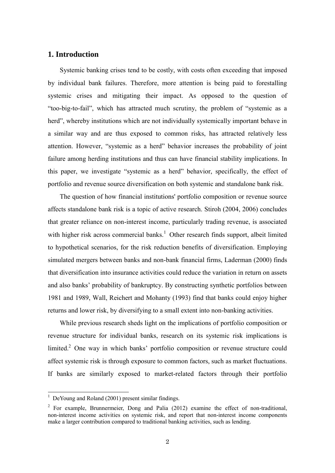# **1. Introduction**

Systemic banking crises tend to be costly, with costs often exceeding that imposed by individual bank failures. Therefore, more attention is being paid to forestalling systemic crises and mitigating their impact. As opposed to the question of "too-big-to-fail", which has attracted much scrutiny, the problem of "systemic as a herd", whereby institutions which are not individually systemically important behave in a similar way and are thus exposed to common risks, has attracted relatively less attention. However, "systemic as a herd" behavior increases the probability of joint failure among herding institutions and thus can have financial stability implications. In this paper, we investigate "systemic as a herd" behavior, specifically, the effect of portfolio and revenue source diversification on both systemic and standalone bank risk.

The question of how financial institutions' portfolio composition or revenue source affects standalone bank risk is a topic of active research. Stiroh (2004, 2006) concludes that greater reliance on non-interest income, particularly trading revenue, is associated with higher risk across commercial banks.<sup>1</sup> Other research finds support, albeit limited to hypothetical scenarios, for the risk reduction benefits of diversification. Employing simulated mergers between banks and non-bank financial firms, Laderman (2000) finds that diversification into insurance activities could reduce the variation in return on assets and also banks' probability of bankruptcy. By constructing synthetic portfolios between 1981 and 1989, Wall, Reichert and Mohanty (1993) find that banks could enjoy higher returns and lower risk, by diversifying to a small extent into non-banking activities.

While previous research sheds light on the implications of portfolio composition or revenue structure for individual banks, research on its systemic risk implications is limited.<sup>2</sup> One way in which banks' portfolio composition or revenue structure could affect systemic risk is through exposure to common factors, such as market fluctuations. If banks are similarly exposed to market-related factors through their portfolio

 $\overline{a}$ 

<sup>&</sup>lt;sup>1</sup> DeYoung and Roland (2001) present similar findings.

<sup>&</sup>lt;sup>2</sup> For example, Brunnermeier, Dong and Palia (2012) examine the effect of non-traditional, non-interest income activities on systemic risk, and report that non-interest income components make a larger contribution compared to traditional banking activities, such as lending.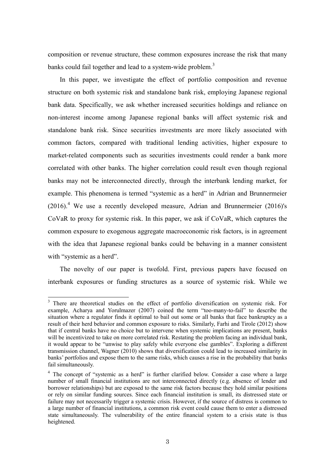composition or revenue structure, these common exposures increase the risk that many banks could fail together and lead to a system-wide problem.<sup>3</sup>

In this paper, we investigate the effect of portfolio composition and revenue structure on both systemic risk and standalone bank risk, employing Japanese regional bank data. Specifically, we ask whether increased securities holdings and reliance on non-interest income among Japanese regional banks will affect systemic risk and standalone bank risk. Since securities investments are more likely associated with common factors, compared with traditional lending activities, higher exposure to market-related components such as securities investments could render a bank more correlated with other banks. The higher correlation could result even though regional banks may not be interconnected directly, through the interbank lending market, for example. This phenomena is termed "systemic as a herd" in Adrian and Brunnermeier  $(2016).$ <sup>4</sup> We use a recently developed measure, Adrian and Brunnermeier  $(2016)$ 's CoVaR to proxy for systemic risk. In this paper, we ask if CoVaR, which captures the common exposure to exogenous aggregate macroeconomic risk factors, is in agreement with the idea that Japanese regional banks could be behaving in a manner consistent with "systemic as a herd".

The novelty of our paper is twofold. First, previous papers have focused on interbank exposures or funding structures as a source of systemic risk. While we

<sup>&</sup>lt;sup>3</sup> There are theoretical studies on the effect of portfolio diversification on systemic risk. For example, Acharya and Yorulmazer (2007) coined the term "too-many-to-fail" to describe the situation where a regulator finds it optimal to bail out some or all banks that face bankruptcy as a result of their herd behavior and common exposure to risks. Similarly, Farhi and Tirole (2012) show that if central banks have no choice but to intervene when systemic implications are present, banks will be incentivized to take on more correlated risk. Restating the problem facing an individual bank, it would appear to be "unwise to play safely while everyone else gambles". Exploring a different transmission channel, Wagner (2010) shows that diversification could lead to increased similarity in banks' portfolios and expose them to the same risks, which causes a rise in the probability that banks fail simultaneously.

<sup>&</sup>lt;sup>4</sup> The concept of "systemic as a herd" is further clarified below. Consider a case where a large number of small financial institutions are not interconnected directly (e.g. absence of lender and borrower relationships) but are exposed to the same risk factors because they hold similar positions or rely on similar funding sources. Since each financial institution is small, its distressed state or failure may not necessarily trigger a systemic crisis. However, if the source of distress is common to a large number of financial institutions, a common risk event could cause them to enter a distressed state simultaneously. The vulnerability of the entire financial system to a crisis state is thus heightened.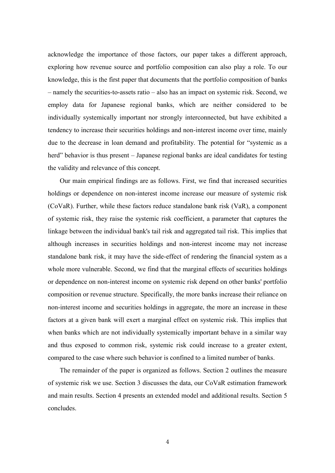acknowledge the importance of those factors, our paper takes a different approach, exploring how revenue source and portfolio composition can also play a role. To our knowledge, this is the first paper that documents that the portfolio composition of banks – namely the securities-to-assets ratio – also has an impact on systemic risk. Second, we employ data for Japanese regional banks, which are neither considered to be individually systemically important nor strongly interconnected, but have exhibited a tendency to increase their securities holdings and non-interest income over time, mainly due to the decrease in loan demand and profitability. The potential for "systemic as a herd" behavior is thus present – Japanese regional banks are ideal candidates for testing the validity and relevance of this concept.

Our main empirical findings are as follows. First, we find that increased securities holdings or dependence on non-interest income increase our measure of systemic risk (CoVaR). Further, while these factors reduce standalone bank risk (VaR), a component of systemic risk, they raise the systemic risk coefficient, a parameter that captures the linkage between the individual bank's tail risk and aggregated tail risk. This implies that although increases in securities holdings and non-interest income may not increase standalone bank risk, it may have the side-effect of rendering the financial system as a whole more vulnerable. Second, we find that the marginal effects of securities holdings or dependence on non-interest income on systemic risk depend on other banks' portfolio composition or revenue structure. Specifically, the more banks increase their reliance on non-interest income and securities holdings in aggregate, the more an increase in these factors at a given bank will exert a marginal effect on systemic risk. This implies that when banks which are not individually systemically important behave in a similar way and thus exposed to common risk, systemic risk could increase to a greater extent, compared to the case where such behavior is confined to a limited number of banks.

The remainder of the paper is organized as follows. Section 2 outlines the measure of systemic risk we use. Section 3 discusses the data, our CoVaR estimation framework and main results. Section 4 presents an extended model and additional results. Section 5 concludes.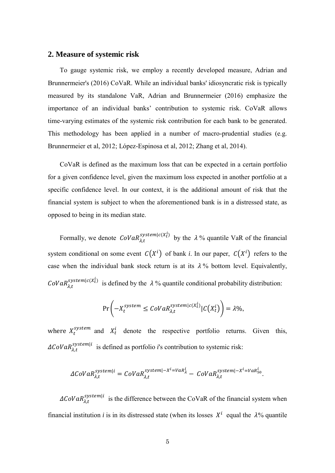# **2. Measure of systemic risk**

To gauge systemic risk, we employ a recently developed measure, Adrian and Brunnermeier's (2016) CoVaR. While an individual banks' idiosyncratic risk is typically measured by its standalone VaR, Adrian and Brunnermeier (2016) emphasize the importance of an individual banks' contribution to systemic risk. CoVaR allows time-varying estimates of the systemic risk contribution for each bank to be generated. This methodology has been applied in a number of macro-prudential studies (e.g. Brunnermeier et al, 2012; López-Espinosa et al, 2012; Zhang et al, 2014).

CoVaR is defined as the maximum loss that can be expected in a certain portfolio for a given confidence level, given the maximum loss expected in another portfolio at a specific confidence level. In our context, it is the additional amount of risk that the financial system is subject to when the aforementioned bank is in a distressed state, as opposed to being in its median state.

Formally, we denote  $\text{CoVaR}_{\lambda t}^{system|c(X_t^i)}$  by the  $\lambda$ % quantile VaR of the financial system conditional on some event  $C(X^i)$  of bank *i*. In our paper,  $C(X^i)$  refers to the case when the individual bank stock return is at its  $\lambda$ % bottom level. Equivalently,  $Cov a R_{\lambda t}^{system|c(X_t^i)}$  is defined by the  $\lambda$ % quantile conditional probability distribution:

$$
\Pr\left(-X_t^{system} \leq \text{Cov}aR_{\lambda,t}^{system|c(X_t^i)}|C(X_t^i)\right) = \lambda\%,
$$

where  $X_t^{system}$  and  $X_t^i$  denote the respective portfolio returns. Given this,  $\Delta \mathcal{C}oVaR_{\lambda t}^{system|i}$  is defined as portfolio *i*'s contribution to systemic risk:

$$
\Delta CoVaR_{\lambda,t}^{system|i} = CoVaR_{\lambda,t}^{system|-X^i=VaR_{\lambda}^i} - CoVaR_{\lambda,t}^{system|-X^i=VaR_{50}^i}.
$$

 $\Delta \text{Cov} a R_{\lambda t}^{system|i}$  is the difference between the CoVaR of the financial system when financial institution *i* is in its distressed state (when its losses  $X^i$  equal the  $\lambda$ % quantile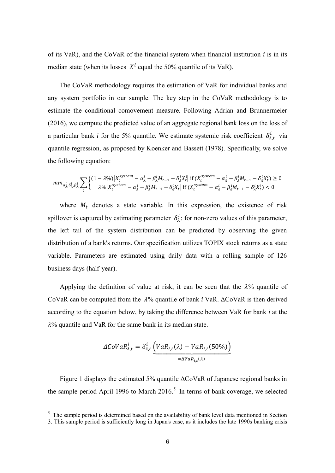of its VaR), and the CoVaR of the financial system when financial institution *i* is in its median state (when its losses  $X^i$  equal the 50% quantile of its VaR).

The CoVaR methodology requires the estimation of VaR for individual banks and any system portfolio in our sample. The key step in the CoVaR methodology is to estimate the conditional comovement measure. Following Adrian and Brunnermeier (2016), we compute the predicted value of an aggregate regional bank loss on the loss of a particular bank *i* for the 5% quantile. We estimate systemic risk coefficient  $\delta_{\lambda t}^{i}$  via quantile regression, as proposed by Koenker and Bassett (1978). Specifically, we solve the following equation:

$$
min_{\alpha_{\lambda}^{i},\delta_{\lambda}^{i},\beta_{\lambda}^{i}} \sum_{t} \begin{cases} (1 - \lambda \%) |X_t^{system} - \alpha_{\lambda}^{i} - \beta_{\lambda}^{i} M_{t-1} - \delta_{\lambda}^{i} X_t^{i}| \text{ if } (X_t^{system} - \alpha_{\lambda}^{i} - \beta_{\lambda}^{i} M_{t-1} - \delta_{\lambda}^{i} X_t^{i}) \ge 0\\ \lambda \% |X_t^{system} - \alpha_{\lambda}^{i} - \beta_{\lambda}^{i} M_{t-1} - \delta_{\lambda}^{i} X_t^{i}| \text{ if } (X_t^{system} - \alpha_{\lambda}^{i} - \beta_{\lambda}^{i} M_{t-1} - \delta_{\lambda}^{i} X_t^{i}) < 0 \end{cases}
$$

where  $M_t$  denotes a state variable. In this expression, the existence of risk spillover is captured by estimating parameter  $\delta_{\lambda}^{i}$ : for non-zero values of this parameter, the left tail of the system distribution can be predicted by observing the given distribution of a bank's returns. Our specification utilizes TOPIX stock returns as a state variable. Parameters are estimated using daily data with a rolling sample of 126 business days (half-year).

Applying the definition of value at risk, it can be seen that the  $\lambda$ % quantile of CoVaR can be computed from the  $\lambda$ % quantile of bank *i* VaR.  $\Delta$ CoVaR is then derived according to the equation below, by taking the difference between VaR for bank *i* at the  $\lambda$ % quantile and VaR for the same bank in its median state.

$$
\Delta \text{Cov} a R_{\lambda, t}^{i} = \delta_{\lambda, t}^{i} \underbrace{\left( \text{VaR}_{i, t}(\lambda) - \text{VaR}_{i, t}(50\%) \right)}_{= \Delta \text{VaR}_{i, t}(\lambda)}
$$

Figure 1 displays the estimated 5% quantile ΔCoVaR of Japanese regional banks in the sample period April 1996 to March  $2016$ <sup>5</sup>. In terms of bank coverage, we selected

 $\overline{a}$ 

<sup>&</sup>lt;sup>5</sup> The sample period is determined based on the availability of bank level data mentioned in Section

<sup>3.</sup> This sample period is sufficiently long in Japan's case, as it includes the late 1990s banking crisis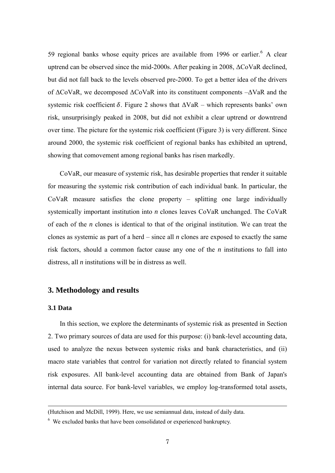59 regional banks whose equity prices are available from 1996 or earlier.<sup>6</sup> A clear uptrend can be observed since the mid-2000s. After peaking in 2008, ΔCoVaR declined, but did not fall back to the levels observed pre-2000. To get a better idea of the drivers of ΔCoVaR, we decomposed ΔCoVaR into its constituent components –ΔVaR and the systemic risk coefficient  $\delta$ . Figure 2 shows that  $\Delta VaR$  – which represents banks' own risk, unsurprisingly peaked in 2008, but did not exhibit a clear uptrend or downtrend over time. The picture for the systemic risk coefficient (Figure 3) is very different. Since around 2000, the systemic risk coefficient of regional banks has exhibited an uptrend, showing that comovement among regional banks has risen markedly.

CoVaR, our measure of systemic risk, has desirable properties that render it suitable for measuring the systemic risk contribution of each individual bank. In particular, the CoVaR measure satisfies the clone property – splitting one large individually systemically important institution into *n* clones leaves CoVaR unchanged. The CoVaR of each of the *n* clones is identical to that of the original institution. We can treat the clones as systemic as part of a herd – since all *n* clones are exposed to exactly the same risk factors, should a common factor cause any one of the *n* institutions to fall into distress, all *n* institutions will be in distress as well.

## **3. Methodology and results**

#### **3.1 Data**

-

In this section, we explore the determinants of systemic risk as presented in Section 2. Two primary sources of data are used for this purpose: (i) bank-level accounting data, used to analyze the nexus between systemic risks and bank characteristics, and (ii) macro state variables that control for variation not directly related to financial system risk exposures. All bank-level accounting data are obtained from Bank of Japan's internal data source. For bank-level variables, we employ log-transformed total assets,

<sup>(</sup>Hutchison and McDill, 1999). Here, we use semiannual data, instead of daily data.

<sup>&</sup>lt;sup>6</sup> We excluded banks that have been consolidated or experienced bankruptcy.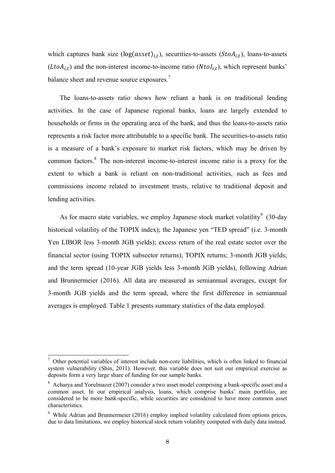which captures bank size  $(log(asset)_{i,t})$ , securities-to-assets  $(StoA_{i,t})$ , loans-to-assets  $(LtoA_{i,t})$  and the non-interest income-to-income ratio  $(NtoI_{i,t})$ , which represent banks' balance sheet and revenue source exposures.<sup>7</sup>

The loans-to-assets ratio shows how reliant a bank is on traditional lending activities. In the case of Japanese regional banks, loans are largely extended to households or firms in the operating area of the bank, and thus the loans-to-assets ratio represents a risk factor more attributable to a specific bank. The securities-to-assets ratio is a measure of a bank's exposure to market risk factors, which may be driven by common factors.<sup>8</sup> The non-interest income-to-interest income ratio is a proxy for the extent to which a bank is reliant on non-traditional activities, such as fees and commissions income related to investment trusts, relative to traditional deposit and lending activities.

As for macro state variables, we employ Japanese stock market volatility<sup>9</sup> (30-day historical volatility of the TOPIX index); the Japanese yen "TED spread" (i.e. 3-month Yen LIBOR less 3-month JGB yields); excess return of the real estate sector over the financial sector (using TOPIX subsector returns); TOPIX returns; 3-month JGB yields; and the term spread (10-year JGB yields less 3-month JGB yields), following Adrian and Brunnermeier (2016). All data are measured as semiannual averages, except for 3-month JGB yields and the term spread, where the first difference in semiannual averages is employed. Table 1 presents summary statistics of the data employed.

 $\overline{a}$ 

 $<sup>7</sup>$  Other potential variables of interest include non-core liabilities, which is often linked to financial</sup> system vulnerability (Shin, 2011). However, this variable does not suit our empirical exercise as deposits form a very large share of funding for our sample banks.

<sup>&</sup>lt;sup>8</sup> Acharya and Yorulmazer (2007) consider a two asset model comprising a bank-specific asset and a common asset. In our empirical analysis, loans, which comprise banks' main portfolio, are considered to be more bank-specific, while securities are considered to have more common asset characteristics.

<sup>&</sup>lt;sup>9</sup> While Adrian and Brunnermeier (2016) employ implied volatility calculated from options prices, due to data limitations, we employ historical stock return volatility computed with daily data instead.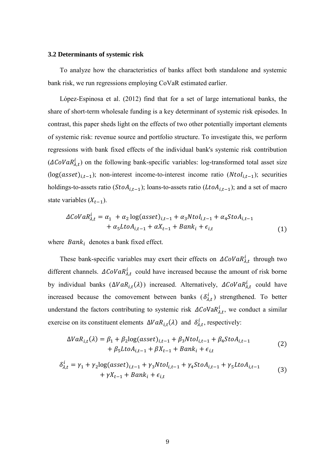#### **3.2 Determinants of systemic risk**

To analyze how the characteristics of banks affect both standalone and systemic bank risk, we run regressions employing CoVaR estimated earlier.

López-Espinosa et al. (2012) find that for a set of large international banks, the share of short-term wholesale funding is a key determinant of systemic risk episodes. In contrast, this paper sheds light on the effects of two other potentially important elements of systemic risk: revenue source and portfolio structure. To investigate this, we perform regressions with bank fixed effects of the individual bank's systemic risk contribution  $(\Delta \mathcal{C}oVaR^i_{\lambda,t})$  on the following bank-specific variables: log-transformed total asset size  $(log(assert)_{i,t-1})$ ; non-interest income-to-interest income ratio  $(Ntol_{i,t-1})$ ; securities holdings-to-assets ratio ( $StoA_{i,t-1}$ ); loans-to-assets ratio ( $LtoA_{i,t-1}$ ); and a set of macro state variables  $(X_{t-1})$ .

$$
\Delta CoVaR\lambda,ti = \alpha_1 + \alpha_2 \log(asset)_{i,t-1} + \alpha_3 Ntoli,t-1 + \alpha_4 StoAi,t-1+ \alpha_5 LtoAi,t-1 + \alpha Xt-1 + Banki + \epsiloni,t
$$
\n(1)

where  $Bank_i$  denotes a bank fixed effect.

These bank-specific variables may exert their effects on  $\Delta \mathcal{C}oVaR^i_{\lambda,t}$  through two different channels.  $\Delta CoVaR_{\lambda,t}^{i}$  could have increased because the amount of risk borne by individual banks  $(\Delta VaR_{i,t}(\lambda))$  increased. Alternatively,  $\Delta CoVaR_{\lambda,t}^{i}$  could have increased because the comovement between banks  $(\delta_{\lambda,t}^i)$  strengthened. To better understand the factors contributing to systemic risk  $\Delta CoVaR_{\lambda,t}^{i}$ , we conduct a similar exercise on its constituent elements  $\Delta VaR_{i,t}(\lambda)$  and  $\delta^i_{\lambda,t}$ , respectively:

$$
\Delta VaR_{i,t}(\lambda) = \beta_1 + \beta_2 \log(asset)_{i,t-1} + \beta_3 Ntol_{i,t-1} + \beta_4 StoA_{i,t-1}
$$
  
+ 
$$
\beta_5 LtoA_{i,t-1} + \beta X_{t-1} + Bank_i + \epsilon_{i,t}
$$
 (2)

$$
\delta_{\lambda,t}^{i} = \gamma_{1} + \gamma_{2} \log(asset)_{i,t-1} + \gamma_{3} Ntol_{i,t-1} + \gamma_{4} StoA_{i,t-1} + \gamma_{5} LtoA_{i,t-1} + \gamma X_{t-1} + Bank_{i} + \epsilon_{i,t}
$$
\n(3)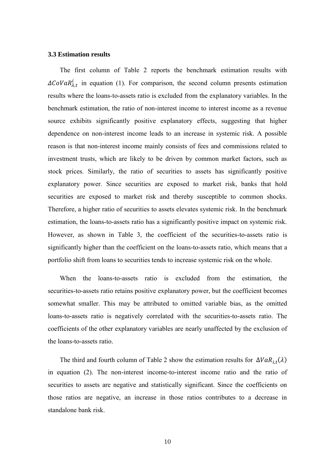## **3.3 Estimation results**

The first column of Table 2 reports the benchmark estimation results with  $\Delta \mathcal{C}oVaR_{\lambda,t}^{i}$  in equation (1). For comparison, the second column presents estimation results where the loans-to-assets ratio is excluded from the explanatory variables. In the benchmark estimation, the ratio of non-interest income to interest income as a revenue source exhibits significantly positive explanatory effects, suggesting that higher dependence on non-interest income leads to an increase in systemic risk. A possible reason is that non-interest income mainly consists of fees and commissions related to investment trusts, which are likely to be driven by common market factors, such as stock prices. Similarly, the ratio of securities to assets has significantly positive explanatory power. Since securities are exposed to market risk, banks that hold securities are exposed to market risk and thereby susceptible to common shocks. Therefore, a higher ratio of securities to assets elevates systemic risk. In the benchmark estimation, the loans-to-assets ratio has a significantly positive impact on systemic risk. However, as shown in Table 3, the coefficient of the securities-to-assets ratio is significantly higher than the coefficient on the loans-to-assets ratio, which means that a portfolio shift from loans to securities tends to increase systemic risk on the whole.

When the loans-to-assets ratio is excluded from the estimation, the securities-to-assets ratio retains positive explanatory power, but the coefficient becomes somewhat smaller. This may be attributed to omitted variable bias, as the omitted loans-to-assets ratio is negatively correlated with the securities-to-assets ratio. The coefficients of the other explanatory variables are nearly unaffected by the exclusion of the loans-to-assets ratio.

The third and fourth column of Table 2 show the estimation results for  $\Delta VaR_{i,t}(\lambda)$ in equation (2). The non-interest income-to-interest income ratio and the ratio of securities to assets are negative and statistically significant. Since the coefficients on those ratios are negative, an increase in those ratios contributes to a decrease in standalone bank risk.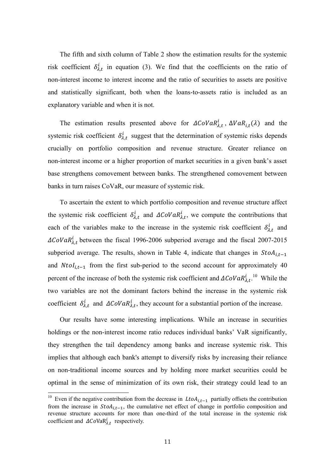The fifth and sixth column of Table 2 show the estimation results for the systemic risk coefficient  $\delta_{\lambda,t}^{i}$  in equation (3). We find that the coefficients on the ratio of non-interest income to interest income and the ratio of securities to assets are positive and statistically significant, both when the loans-to-assets ratio is included as an explanatory variable and when it is not.

The estimation results presented above for  $\Delta \text{CoVaR}^i_{\lambda,t}$ ,  $\Delta \text{VaR}_{i,t}(\lambda)$  and the systemic risk coefficient  $\delta_{\lambda,t}^{i}$  suggest that the determination of systemic risks depends crucially on portfolio composition and revenue structure. Greater reliance on non-interest income or a higher proportion of market securities in a given bank's asset base strengthens comovement between banks. The strengthened comovement between banks in turn raises CoVaR, our measure of systemic risk.

To ascertain the extent to which portfolio composition and revenue structure affect the systemic risk coefficient  $\delta_{\lambda,t}^{i}$  and  $\Delta \mathcal{C}oVaR_{\lambda,t}^{i}$ , we compute the contributions that each of the variables make to the increase in the systemic risk coefficient  $\delta_{\lambda,t}^{i}$  and  $\Delta \text{Cov} a R_{\lambda t}^{i}$  between the fiscal 1996-2006 subperiod average and the fiscal 2007-2015 subperiod average. The results, shown in Table 4, indicate that changes in  $StoA_{i,t-1}$ and  $Ntol_{i,t-1}$  from the first sub-period to the second account for approximately 40 percent of the increase of both the systemic risk coefficient and  $\Delta \mathcal{C}oVaR^i_{\lambda,t}$ .<sup>10</sup> While the two variables are not the dominant factors behind the increase in the systemic risk coefficient  $\delta_{\lambda,t}^{i}$  and  $\Delta \text{CoVaR}_{\lambda,t}^{i}$ , they account for a substantial portion of the increase.

Our results have some interesting implications. While an increase in securities holdings or the non-interest income ratio reduces individual banks' VaR significantly, they strengthen the tail dependency among banks and increase systemic risk. This implies that although each bank's attempt to diversify risks by increasing their reliance on non-traditional income sources and by holding more market securities could be optimal in the sense of minimization of its own risk, their strategy could lead to an

 $\overline{a}$ 

<sup>&</sup>lt;sup>10</sup> Even if the negative contribution from the decrease in  $LtoA_{i,t-1}$  partially offsets the contribution from the increase in  $StoA_{i,t-1}$ , the cumulative net effect of change in portfolio composition and revenue structure accounts for more than one-third of the total increase in the systemic risk coefficient and  $\Delta CoVaR^i_{\lambda,t}$  respectively.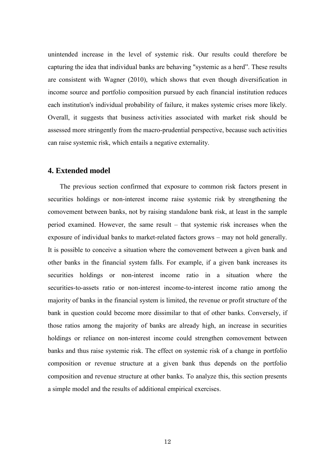unintended increase in the level of systemic risk. Our results could therefore be capturing the idea that individual banks are behaving "systemic as a herd". These results are consistent with Wagner (2010), which shows that even though diversification in income source and portfolio composition pursued by each financial institution reduces each institution's individual probability of failure, it makes systemic crises more likely. Overall, it suggests that business activities associated with market risk should be assessed more stringently from the macro-prudential perspective, because such activities can raise systemic risk, which entails a negative externality.

# **4. Extended model**

The previous section confirmed that exposure to common risk factors present in securities holdings or non-interest income raise systemic risk by strengthening the comovement between banks, not by raising standalone bank risk, at least in the sample period examined. However, the same result – that systemic risk increases when the exposure of individual banks to market-related factors grows – may not hold generally. It is possible to conceive a situation where the comovement between a given bank and other banks in the financial system falls. For example, if a given bank increases its securities holdings or non-interest income ratio in a situation where the securities-to-assets ratio or non-interest income-to-interest income ratio among the majority of banks in the financial system is limited, the revenue or profit structure of the bank in question could become more dissimilar to that of other banks. Conversely, if those ratios among the majority of banks are already high, an increase in securities holdings or reliance on non-interest income could strengthen comovement between banks and thus raise systemic risk. The effect on systemic risk of a change in portfolio composition or revenue structure at a given bank thus depends on the portfolio composition and revenue structure at other banks. To analyze this, this section presents a simple model and the results of additional empirical exercises.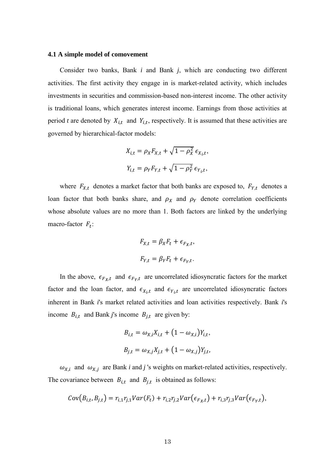#### **4.1 A simple model of comovement**

Consider two banks, Bank *i* and Bank *j*, which are conducting two different activities. The first activity they engage in is market-related activity, which includes investments in securities and commission-based non-interest income. The other activity is traditional loans, which generates interest income. Earnings from those activities at period *t* are denoted by  $X_{i,t}$  and  $Y_{i,t}$ , respectively. It is assumed that these activities are governed by hierarchical-factor models:

$$
X_{i,t} = \rho_X F_{X,t} + \sqrt{1 - \rho_X^2} \epsilon_{X_i,t},
$$
  

$$
Y_{i,t} = \rho_Y F_{Y,t} + \sqrt{1 - \rho_Y^2} \epsilon_{Y_i,t},
$$

where  $F_{X,t}$  denotes a market factor that both banks are exposed to,  $F_{Y,t}$  denotes a loan factor that both banks share, and  $\rho_X$  and  $\rho_Y$  denote correlation coefficients whose absolute values are no more than 1. Both factors are linked by the underlying macro-factor  $F_t$ :

$$
F_{X,t} = \beta_X F_t + \epsilon_{F_X,t},
$$
  

$$
F_{Y,t} = \beta_Y F_t + \epsilon_{F_Y,t}.
$$

In the above,  $\epsilon_{F_X,t}$  and  $\epsilon_{F_Y,t}$  are uncorrelated idiosyncratic factors for the market factor and the loan factor, and  $\epsilon_{X_i,t}$  and  $\epsilon_{Y_i,t}$  are uncorrelated idiosyncratic factors inherent in Bank *i*'s market related activities and loan activities respectively. Bank *i*'s income  $B_{i,t}$  and Bank *j*'s income  $B_{j,t}$  are given by:

$$
B_{i,t} = \omega_{X,i} X_{i,t} + (1 - \omega_{X,i}) Y_{i,t},
$$
  

$$
B_{j,t} = \omega_{X,j} X_{j,t} + (1 - \omega_{X,j}) Y_{j,t},
$$

 $\omega_{X,i}$  and  $\omega_{X,i}$  are Bank *i* and *j* 's weights on market-related activities, respectively. The covariance between  $B_{i,t}$  and  $B_{j,t}$  is obtained as follows:

$$
Cov(B_{i,t}, B_{j,t}) = r_{i,1}r_{j,1}Var(F_t) + r_{i,2}r_{j,2}Var(\epsilon_{F_X,t}) + r_{i,3}r_{j,3}Var(\epsilon_{F_Y,t}),
$$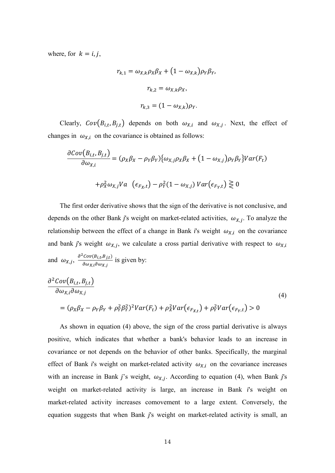where, for  $k = i, j$ ,

$$
r_{k,1} = \omega_{X,k}\rho_X\beta_X + (1 - \omega_{X,k})\rho_Y\beta_Y,
$$

$$
r_{k,2} = \omega_{X,k}\rho_X,
$$

$$
r_{k,3} = (1 - \omega_{X,k})\rho_Y.
$$

Clearly,  $Cov(B_{i,t}, B_{j,t})$  depends on both  $\omega_{X,i}$  and  $\omega_{X,j}$ . Next, the effect of changes in  $\omega_{X,i}$  on the covariance is obtained as follows:

$$
\frac{\partial Cov(B_{i,t}, B_{j,t})}{\partial \omega_{X,i}} = (\rho_X \beta_X - \rho_Y \beta_Y) \{ \omega_{X,j} \rho_X \beta_X + (1 - \omega_{X,j}) \rho_Y \beta_Y \} Var(F_t)
$$

$$
+ \rho_X^2 \omega_{X,j} Va \quad (\epsilon_{F_X,t}) - \rho_Y^2 (1 - \omega_{X,j}) Var(\epsilon_{F_Y,t}) \gtrless 0
$$

The first order derivative shows that the sign of the derivative is not conclusive, and depends on the other Bank *j*'s weight on market-related activities,  $\omega_{X,j}$ . To analyze the relationship between the effect of a change in Bank *i*'s weight  $\omega_{X,i}$  on the covariance and bank *j*'s weight  $\omega_{X,i}$ , we calculate a cross partial derivative with respect to  $\omega_{X,i}$ and  $\omega_{X,i}$ ,  $\frac{\partial^2}{\partial x_i}$  $\frac{\partial \omega_{x,i} \partial \omega_{y,i}}{\partial \omega_{x,i} \partial \omega_{y,i}}$  is given by:

$$
\frac{\partial^2 Cov(B_{i,t}, B_{j,t})}{\partial \omega_{X,i} \partial \omega_{X,j}}\n= (\rho_X \beta_X - \rho_Y \beta_Y + \rho_Y^2 \beta_Y^2)^2 Var(F_t) + \rho_X^2 Var(\epsilon_{F_{X,t}}) + \rho_Y^2 Var(\epsilon_{F_Y,t}) > 0
$$
\n
$$
(4)
$$

As shown in equation (4) above, the sign of the cross partial derivative is always positive, which indicates that whether a bank's behavior leads to an increase in covariance or not depends on the behavior of other banks. Specifically, the marginal effect of Bank *i*'s weight on market-related activity  $\omega_{X,i}$  on the covariance increases with an increase in Bank *j*'s weight,  $\omega_{X,i}$ . According to equation (4), when Bank *j*'s weight on market-related activity is large, an increase in Bank *i*'s weight on market-related activity increases comovement to a large extent. Conversely, the equation suggests that when Bank *j*'s weight on market-related activity is small, an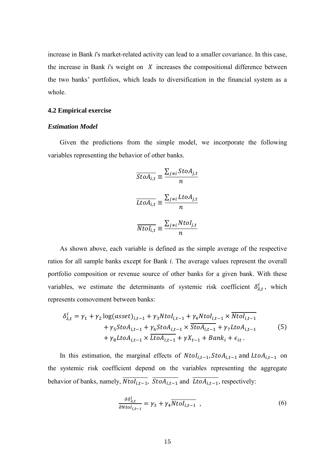increase in Bank *i*'s market-related activity can lead to a smaller covariance. In this case, the increase in Bank  $i$ 's weight on  $\chi$  increases the compositional difference between the two banks' portfolios, which leads to diversification in the financial system as a whole.

#### **4.2 Empirical exercise**

## *Estimation Model*

Given the predictions from the simple model, we incorporate the following variables representing the behavior of other banks.

$$
\overline{StoA_{i,t}} \equiv \frac{\sum_{j\neq i} StoA_{j,t}}{n}
$$

$$
\overline{LtoA_{i,t}} \equiv \frac{\sum_{j\neq i} LtoA_{j,t}}{n}
$$

$$
\overline{NtoI_{i,t}} \equiv \frac{\sum_{j\neq i} NtoI_{j,t}}{n}
$$

As shown above, each variable is defined as the simple average of the respective ratios for all sample banks except for Bank *i*. The average values represent the overall portfolio composition or revenue source of other banks for a given bank. With these variables, we estimate the determinants of systemic risk coefficient  $\delta_{\lambda,t}^{i}$ , which represents comovement between banks:

$$
\delta_{\lambda,t}^{i} = \gamma_{1} + \gamma_{2} \log(asset)_{i,t-1} + \gamma_{3} Ntol_{i,t-1} + \gamma_{4} Ntol_{i,t-1} \times \overline{Ntol_{i,t-1}} \n+ \gamma_{5} StoA_{i,t-1} + \gamma_{6} StoA_{i,t-1} \times \overline{StoA_{i,t-1}} + \gamma_{7} LtoA_{i,t-1} \n+ \gamma_{8} LtoA_{i,t-1} \times \overline{LtoA_{i,t-1}} + \gamma X_{t-1} + Bank_{i} + \epsilon_{it}.
$$
\n(5)

In this estimation, the marginal effects of  $Ntol_{i,t-1}$ ,  $StoA_{i,t-1}$  and  $LtoA_{i,t-1}$  on the systemic risk coefficient depend on the variables representing the aggregate behavior of banks, namely,  $\overline{Ntol_{i,t-1}}$ ,  $\overline{StoA_{i,t-1}}$  and  $\overline{Ltol_{i,t-1}}$ , respectively:

$$
\frac{\partial \delta_{\lambda,t}^{i}}{\partial N \omega_{i,t-1}} = \gamma_3 + \gamma_4 \overline{N \omega_{i,t-1}} \quad , \tag{6}
$$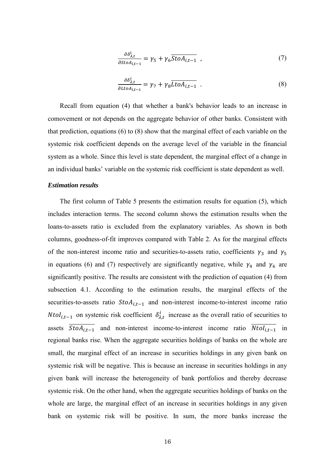$$
\frac{\partial \delta_{\lambda,t}^{i}}{\partial st \circ A_{i,t-1}} = \gamma_5 + \gamma_6 \overline{St \circ A_{i,t-1}} \tag{7}
$$

$$
\frac{\partial \delta_{\lambda,t}^{i}}{\partial L \iota_{\partial A_{i,t-1}}} = \gamma_7 + \gamma_8 \overline{L \iota_{\partial A_{i,t-1}}} . \tag{8}
$$

Recall from equation (4) that whether a bank's behavior leads to an increase in comovement or not depends on the aggregate behavior of other banks. Consistent with that prediction, equations (6) to (8) show that the marginal effect of each variable on the systemic risk coefficient depends on the average level of the variable in the financial system as a whole. Since this level is state dependent, the marginal effect of a change in an individual banks' variable on the systemic risk coefficient is state dependent as well.

#### *Estimation results*

The first column of Table 5 presents the estimation results for equation (5), which includes interaction terms. The second column shows the estimation results when the loans-to-assets ratio is excluded from the explanatory variables. As shown in both columns, goodness-of-fit improves compared with Table 2. As for the marginal effects of the non-interest income ratio and securities-to-assets ratio, coefficients  $\gamma_3$  and  $\gamma_5$ in equations (6) and (7) respectively are significantly negative, while  $\gamma_4$  and  $\gamma_6$  are significantly positive. The results are consistent with the prediction of equation (4) from subsection 4.1. According to the estimation results, the marginal effects of the securities-to-assets ratio  $StoA_{i,t-1}$  and non-interest income-to-interest income ratio *Ntol<sub>it-1</sub>* on systemic risk coefficient  $\delta_{\lambda t}^{i}$  increase as the overall ratio of securities to assets  $\overline{StoA_{i,t-1}}$  and non-interest income-to-interest income ratio  $\overline{Ntol_{i,t-1}}$  in regional banks rise. When the aggregate securities holdings of banks on the whole are small, the marginal effect of an increase in securities holdings in any given bank on systemic risk will be negative. This is because an increase in securities holdings in any given bank will increase the heterogeneity of bank portfolios and thereby decrease systemic risk. On the other hand, when the aggregate securities holdings of banks on the whole are large, the marginal effect of an increase in securities holdings in any given bank on systemic risk will be positive. In sum, the more banks increase the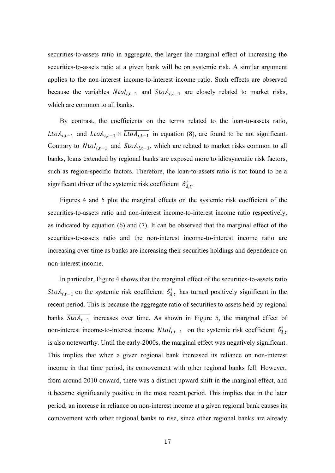securities-to-assets ratio in aggregate, the larger the marginal effect of increasing the securities-to-assets ratio at a given bank will be on systemic risk. A similar argument applies to the non-interest income-to-interest income ratio. Such effects are observed because the variables  $Ntol_{i,t-1}$  and  $StoA_{i,t-1}$  are closely related to market risks, which are common to all banks.

By contrast, the coefficients on the terms related to the loan-to-assets ratio, Lto $A_{i,t-1}$  and Lto $A_{i,t-1} \times \overline{LtoA_{i,t-1}}$  in equation (8), are found to be not significant. Contrary to  $Ntol_{i,t-1}$  and  $StoA_{i,t-1}$ , which are related to market risks common to all banks, loans extended by regional banks are exposed more to idiosyncratic risk factors, such as region-specific factors. Therefore, the loan-to-assets ratio is not found to be a significant driver of the systemic risk coefficient  $\delta_{\lambda,t}^{i}$ .

Figures 4 and 5 plot the marginal effects on the systemic risk coefficient of the securities-to-assets ratio and non-interest income-to-interest income ratio respectively, as indicated by equation (6) and (7). It can be observed that the marginal effect of the securities-to-assets ratio and the non-interest income-to-interest income ratio are increasing over time as banks are increasing their securities holdings and dependence on non-interest income.

In particular, Figure 4 shows that the marginal effect of the securities-to-assets ratio  $StoA_{i,t-1}$  on the systemic risk coefficient  $\delta_{\lambda,t}^{i}$  has turned positively significant in the recent period. This is because the aggregate ratio of securities to assets held by regional banks  $\overline{StoA_{t-1}}$  increases over time. As shown in Figure 5, the marginal effect of non-interest income-to-interest income  $Ntol_{i,t-1}$  on the systemic risk coefficient  $\delta_{\lambda}^{i}$ is also noteworthy. Until the early-2000s, the marginal effect was negatively significant. This implies that when a given regional bank increased its reliance on non-interest income in that time period, its comovement with other regional banks fell. However, from around 2010 onward, there was a distinct upward shift in the marginal effect, and it became significantly positive in the most recent period. This implies that in the later period, an increase in reliance on non-interest income at a given regional bank causes its comovement with other regional banks to rise, since other regional banks are already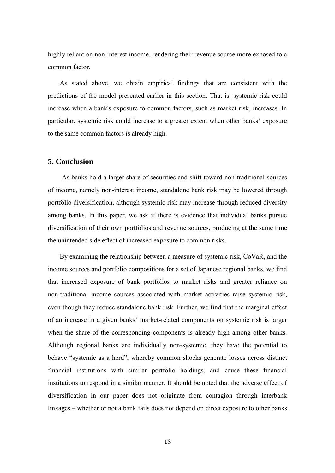highly reliant on non-interest income, rendering their revenue source more exposed to a common factor.

As stated above, we obtain empirical findings that are consistent with the predictions of the model presented earlier in this section. That is, systemic risk could increase when a bank's exposure to common factors, such as market risk, increases. In particular, systemic risk could increase to a greater extent when other banks' exposure to the same common factors is already high.

## **5. Conclusion**

As banks hold a larger share of securities and shift toward non-traditional sources of income, namely non-interest income, standalone bank risk may be lowered through portfolio diversification, although systemic risk may increase through reduced diversity among banks. In this paper, we ask if there is evidence that individual banks pursue diversification of their own portfolios and revenue sources, producing at the same time the unintended side effect of increased exposure to common risks.

By examining the relationship between a measure of systemic risk, CoVaR, and the income sources and portfolio compositions for a set of Japanese regional banks, we find that increased exposure of bank portfolios to market risks and greater reliance on non-traditional income sources associated with market activities raise systemic risk, even though they reduce standalone bank risk. Further, we find that the marginal effect of an increase in a given banks' market-related components on systemic risk is larger when the share of the corresponding components is already high among other banks. Although regional banks are individually non-systemic, they have the potential to behave "systemic as a herd", whereby common shocks generate losses across distinct financial institutions with similar portfolio holdings, and cause these financial institutions to respond in a similar manner. It should be noted that the adverse effect of diversification in our paper does not originate from contagion through interbank linkages – whether or not a bank fails does not depend on direct exposure to other banks.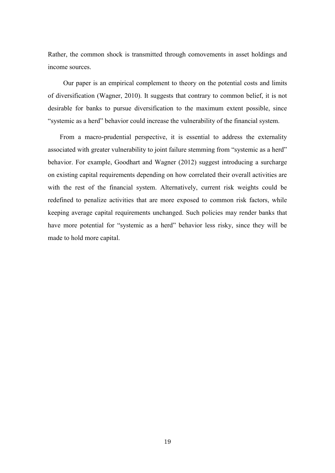Rather, the common shock is transmitted through comovements in asset holdings and income sources.

Our paper is an empirical complement to theory on the potential costs and limits of diversification (Wagner, 2010). It suggests that contrary to common belief, it is not desirable for banks to pursue diversification to the maximum extent possible, since "systemic as a herd" behavior could increase the vulnerability of the financial system.

From a macro-prudential perspective, it is essential to address the externality associated with greater vulnerability to joint failure stemming from "systemic as a herd" behavior. For example, Goodhart and Wagner (2012) suggest introducing a surcharge on existing capital requirements depending on how correlated their overall activities are with the rest of the financial system. Alternatively, current risk weights could be redefined to penalize activities that are more exposed to common risk factors, while keeping average capital requirements unchanged. Such policies may render banks that have more potential for "systemic as a herd" behavior less risky, since they will be made to hold more capital.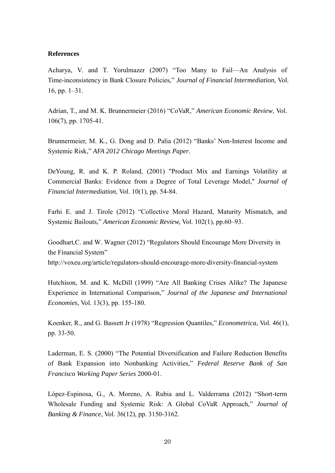#### **References**

Acharya, V. and T. Yorulmazer (2007) "Too Many to Fail—An Analysis of Time-inconsistency in Bank Closure Policies," *Journal of Financial Intermediation,* Vol. 16, pp. 1–31.

Adrian, T., and M. K. Brunnermeier (2016) "CoVaR," *American Economic Review*, Vol. 106(7), pp. 1705-41.

Brunnermeier, M. K., G. Dong and D. Palia (2012) "Banks' Non-Interest Income and Systemic Risk," *AFA 2012 Chicago Meetings Paper*.

DeYoung, R. and K. P. Roland, (2001) "Product Mix and Earnings Volatility at Commercial Banks: Evidence from a Degree of Total Leverage Model," *Journal of Financial Intermediation*, Vol. 10(1), pp. 54-84.

Farhi E. and J. Tirole (2012) "Collective Moral Hazard, Maturity Mismatch, and Systemic Bailouts," *American Economic Review,* Vol. 102(1), pp.60–93.

Goodhart,C. and W. Wagner (2012) "Regulators Should Encourage More Diversity in the Financial System"

http://voxeu.org/article/regulators-should-encourage-more-diversity-financial-system

Hutchison, M. and K. McDill (1999) "Are All Banking Crises Alike? The Japanese Experience in International Comparison," *Journal of the Japanese and International Economies*, Vol. 13(3), pp. 155-180.

Koenker, R., and G. Bassett Jr (1978) "Regression Quantiles," *Econometrica*, Vol. 46(1), pp. 33-50.

Laderman, E. S. (2000) "The Potential Diversification and Failure Reduction Benefits of Bank Expansion into Nonbanking Activities," *Federal Reserve Bank of San Francisco Working Paper Series* 2000-01.

López-Espinosa, G., A. Moreno, A. Rubia and L. Valderrama (2012) "Short-term Wholesale Funding and Systemic Risk: A Global CoVaR Approach," *Journal of Banking & Finance*, Vol. 36(12), pp. 3150-3162.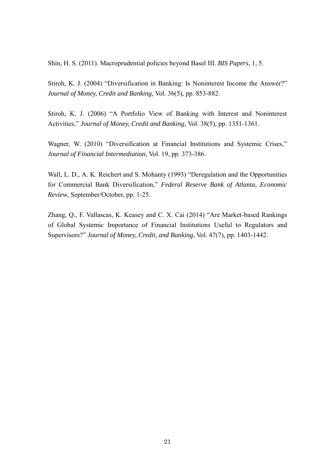Shin, H. S. (2011). Macroprudential policies beyond Basel III. *BIS Papers*, 1, 5.

Stiroh, K. J. (2004) "Diversification in Banking: Is Noninterest Income the Answer?" *Journal of Money, Credit and Banking,* Vol. 36(5), pp. 853-882.

Stiroh, K. J. (2006) "A Portfolio View of Banking with Interest and Noninterest Activities," *Journal of Money, Credit and Banking,* Vol. 38(5), pp. 1351-1361.

Wagner, W. (2010) "Diversification at Financial Institutions and Systemic Crises," *Journal of Financial Intermediation*, Vol. 19, pp. 373-386.

Wall, L. D., A. K. Reichert and S. Mohanty (1993) "Deregulation and the Opportunities for Commercial Bank Diversification," *Federal Reserve Bank of Atlanta, Economic Review*, September/October, pp. 1-25.

Zhang, Q., F. Vallascas, K. Keasey and C. X. Cai (2014) "Are Market-based Rankings of Global Systemic Importance of Financial Institutions Useful to Regulators and Supervisors?" *Journal of Money, Credit, and Banking*, Vol. 47(7), pp. 1403-1442.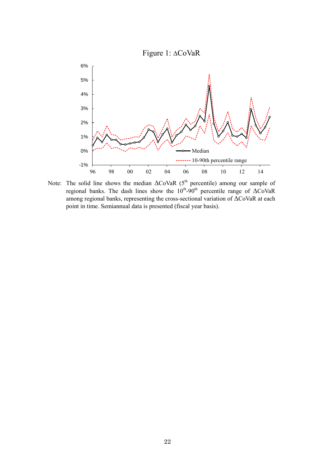

Note: The solid line shows the median  $\Delta$ CoVaR (5<sup>th</sup> percentile) among our sample of regional banks. The dash lines show the  $10^{th}$ -90<sup>th</sup> percentile range of  $\Delta$ CoVaR among regional banks, representing the cross-sectional variation of ΔCoVaR at each point in time. Semiannual data is presented (fiscal year basis).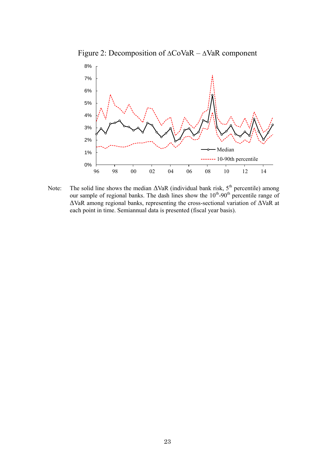Figure 2: Decomposition of ΔCoVaR – ΔVaR component



Note: The solid line shows the median  $\Delta$ VaR (individual bank risk,  $5^{th}$  percentile) among our sample of regional banks. The dash lines show the  $10^{th}$ -90<sup>th</sup> percentile range of ΔVaR among regional banks, representing the cross-sectional variation of ΔVaR at each point in time. Semiannual data is presented (fiscal year basis).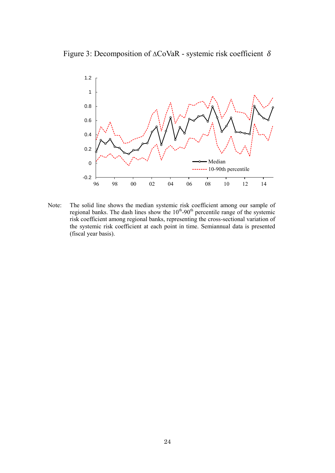Figure 3: Decomposition of  $\triangle \text{CoVaR}$  - systemic risk coefficient  $\delta$ 



Note: The solid line shows the median systemic risk coefficient among our sample of regional banks. The dash lines show the  $10^{th}$ -90<sup>th</sup> percentile range of the systemic risk coefficient among regional banks, representing the cross-sectional variation of the systemic risk coefficient at each point in time. Semiannual data is presented (fiscal year basis).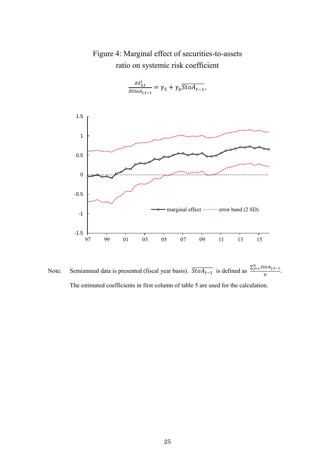

Figure 4: Marginal effect of securities-to-assets ratio on systemic risk coefficient



Note: Semiannual data is presented (fiscal year basis).  $\overline{StoA_{t-1}}$  is defined as  $\frac{\sum_{j=1}^{n} S_{t-1}}{\sum_{j=1}^{n} S_{t-1}}$  $\frac{\sum_{i=1}^{i} (n-i)}{n}$ . The estimated coefficients in first column of table 5 are used for the calculation.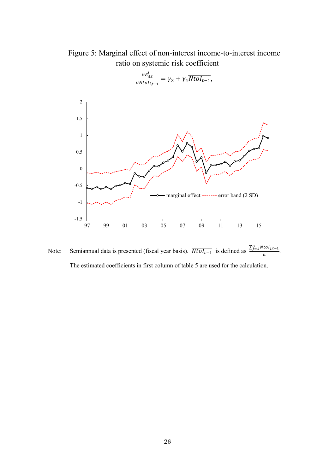Figure 5: Marginal effect of non-interest income-to-interest income ratio on systemic risk coefficient



Note: Semiannual data is presented (fiscal year basis).  $\overline{Ntol_{t-1}}$  is defined as  $\frac{\sum_{j=1}^{n} N_{t-1}}{n}$  $\frac{\sum_{i=1}^{n} x_i}{n}$ . The estimated coefficients in first column of table 5 are used for the calculation.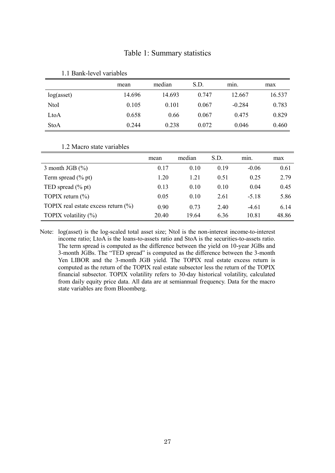# Table 1: Summary statistics

|            | mean   | median | S.D.  | min.     | max    |
|------------|--------|--------|-------|----------|--------|
| log(asset) | 14.696 | 14.693 | 0.747 | 12.667   | 16.537 |
| NtoI       | 0.105  | 0.101  | 0.067 | $-0.284$ | 0.783  |
| LtoA       | 0.658  | 0.66   | 0.067 | 0.475    | 0.829  |
| StoA       | 0.244  | 0.238  | 0.072 | 0.046    | 0.460  |

#### 1.1 Bank-level variables

#### 1.2 Macro state variables

|                                         | mean  | median | S.D. | min.    | max   |
|-----------------------------------------|-------|--------|------|---------|-------|
| 3 month JGB $(\% )$                     | 0.17  | 0.10   | 0.19 | $-0.06$ | 0.61  |
| Term spread $(\%$ pt)                   | 1.20  | 1.21   | 0.51 | 0.25    | 2.79  |
| TED spread $(\%$ pt)                    | 0.13  | 0.10   | 0.10 | 0.04    | 0.45  |
| TOPIX return $(\% )$                    | 0.05  | 0.10   | 2.61 | $-5.18$ | 5.86  |
| TOPIX real estate excess return $(\% )$ | 0.90  | 0.73   | 2.40 | $-4.61$ | 6.14  |
| TOPIX volatility $(\%)$                 | 20.40 | 19.64  | 6.36 | 10.81   | 48.86 |

Note: log(asset) is the log-scaled total asset size; NtoI is the non-interest income-to-interest income ratio; LtoA is the loans-to-assets ratio and StoA is the securities-to-assets ratio. The term spread is computed as the difference between the yield on 10-year JGBs and 3-month JGBs. The "TED spread" is computed as the difference between the 3-month Yen LIBOR and the 3-month JGB yield. The TOPIX real estate excess return is computed as the return of the TOPIX real estate subsector less the return of the TOPIX financial subsector. TOPIX volatility refers to 30-day historical volatility, calculated from daily equity price data. All data are at semiannual frequency. Data for the macro state variables are from Bloomberg.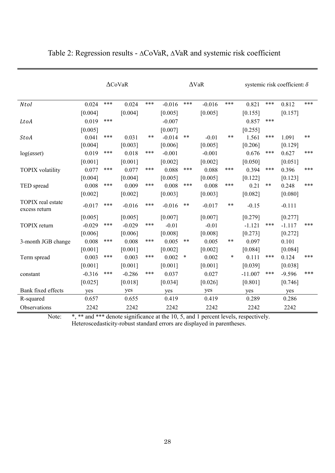|                                    |          |     | $\triangle$ CoVaR |              |          |        | $\Delta$ VaR |              |           |       | systemic risk coefficient: $\delta$ |               |
|------------------------------------|----------|-----|-------------------|--------------|----------|--------|--------------|--------------|-----------|-------|-------------------------------------|---------------|
| <b>NtoI</b>                        | 0.024    | *** | 0.024             | ***          | $-0.016$ | ***    | $-0.016$     | ***          | 0.821     | ***   | 0.812                               | $***$         |
|                                    | [0.004]  |     | [0.004]           |              | [0.005]  |        | [0.005]      |              | [0.155]   |       | [0.157]                             |               |
| LtoA                               | 0.019    | *** |                   |              | $-0.007$ |        |              |              | 0.857     | ***   |                                     |               |
|                                    | [0.005]  |     |                   |              | [0.007]  |        |              |              | [0.255]   |       |                                     |               |
| <b>StoA</b>                        | 0.041    | *** | 0.031             | $\star\star$ | $-0.014$ | $***$  | $-0.01$      | $\star\star$ | 1.561     | ***   | 1.091                               | $\ast$ $\ast$ |
|                                    | [0.004]  |     | [0.003]           |              | [0.006]  |        | [0.005]      |              | [0.206]   |       | [0.129]                             |               |
| log(asset)                         | 0.019    | *** | 0.018             | ***          | $-0.001$ |        | $-0.001$     |              | 0.676     | ***   | 0.627                               | ***           |
|                                    | [0.001]  |     | [0.001]           |              | [0.002]  |        | [0.002]      |              | [0.050]   |       | [0.051]                             |               |
| <b>TOPIX</b> volatility            | 0.077    | *** | 0.077             | ***          | 0.088    | ***    | 0.088        | ***          | 0.394     | ***   | 0.396                               | ***           |
|                                    | [0.004]  |     | [0.004]           |              | [0.005]  |        | [0.005]      |              | [0.122]   |       | [0.123]                             |               |
| TED spread                         | 0.008    | *** | 0.009             | ***          | 0.008    | ***    | 0.008        | ***          | 0.21      | $***$ | 0.248                               | ***           |
|                                    | [0.002]  |     | [0.002]           |              | [0.003]  |        | [0.003]      |              | [0.082]   |       | [0.080]                             |               |
| TOPIX real estate<br>excess return | $-0.017$ | *** | $-0.016$          | ***          | $-0.016$ | $***$  | $-0.017$     | $***$        | $-0.15$   |       | $-0.111$                            |               |
|                                    | [0.005]  |     | [0.005]           |              | [0.007]  |        | [0.007]      |              | [0.279]   |       | [0.277]                             |               |
| <b>TOPIX</b> return                | $-0.029$ | *** | $-0.029$          | ***          | $-0.01$  |        | $-0.01$      |              | $-1.121$  | ***   | $-1.117$                            | ***           |
|                                    | [0.006]  |     | [0.006]           |              | [0.008]  |        | [0.008]      |              | [0.273]   |       | [0.272]                             |               |
| 3-month JGB change                 | 0.008    | *** | 0.008             | ***          | 0.005    | $***$  | 0.005        | $***$        | 0.097     |       | 0.101                               |               |
|                                    | [0.001]  |     | [0.001]           |              | [0.002]  |        | [0.002]      |              | [0.084]   |       | [0.084]                             |               |
| Term spread                        | 0.003    | *** | 0.003             | ***          | 0.002    | $\ast$ | 0.002        | $\ast$       | 0.111     | ***   | 0.124                               | ***           |
|                                    | [0.001]  |     | [0.001]           |              | [0.001]  |        | [0.001]      |              | [0.039]   |       | [0.038]                             |               |
| constant                           | $-0.316$ | *** | $-0.286$          | ***          | 0.037    |        | 0.027        |              | $-11.007$ | ***   | $-9.596$                            | ***           |
|                                    | [0.025]  |     | [0.018]           |              | [0.034]  |        | [0.026]      |              | [0.801]   |       | [0.746]                             |               |
| Bank fixed effects                 | yes      |     | yes               |              | yes      |        | yes          |              | yes       |       | yes                                 |               |
| R-squared                          | 0.657    |     | 0.655             |              | 0.419    |        | 0.419        |              | 0.289     |       | 0.286                               |               |
| Observations                       | 2242     |     | 2242              |              | 2242     |        | 2242         |              | 2242      |       | 2242                                |               |

# Table 2: Regression results - ΔCoVaR, ΔVaR and systemic risk coefficient

Note: \*, \*\* and \*\*\* denote significance at the 10, 5, and 1 percent levels, respectively.

Heteroscedasticity-robust standard errors are displayed in parentheses.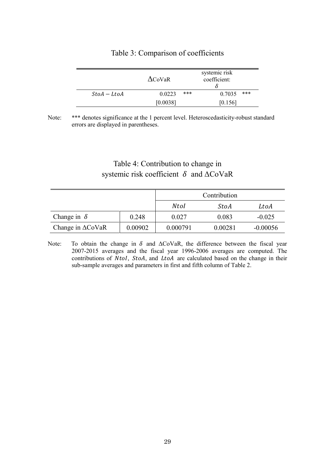|             | $\Delta$ CoVaR | systemic risk<br>coefficient: |               |  |  |
|-------------|----------------|-------------------------------|---------------|--|--|
| $StoA-LtoA$ | 0.0223         | ***                           | ***<br>0.7035 |  |  |
|             | [0.0038]       |                               | [0.156]       |  |  |

# Table 3: Comparison of coefficients

# Table 4: Contribution to change in systemic risk coefficient  $\delta$  and  $\Delta$ CoVaR

|                             |         |          | Contribution |            |
|-----------------------------|---------|----------|--------------|------------|
|                             |         | Ntol     | StoA         | LtoA       |
| Change in $\delta$          | 0.248   | 0.027    | 0.083        | $-0.025$   |
| Change in $\triangle$ CoVaR | 0.00902 | 0.000791 | 0.00281      | $-0.00056$ |

Note: To obtain the change in  $\delta$  and  $\Delta$ CoVaR, the difference between the fiscal year 2007-2015 averages and the fiscal year 1996-2006 averages are computed. The contributions of Ntol, StoA, and LtoA are calculated based on the change in their sub-sample averages and parameters in first and fifth column of Table 2.

Note: \*\*\* denotes significance at the 1 percent level. Heteroscedasticity-robust standard errors are displayed in parentheses.